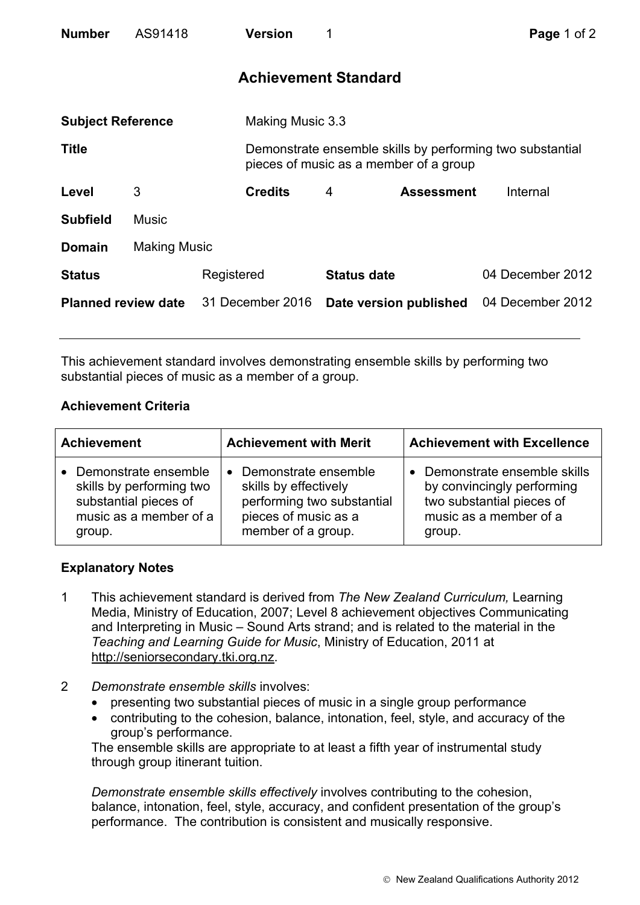| <b>Number</b>              | AS91418             |                  | <b>Version</b>              |                    |                                                                                                     | Page 1 of 2      |  |
|----------------------------|---------------------|------------------|-----------------------------|--------------------|-----------------------------------------------------------------------------------------------------|------------------|--|
|                            |                     |                  | <b>Achievement Standard</b> |                    |                                                                                                     |                  |  |
| <b>Subject Reference</b>   |                     |                  | Making Music 3.3            |                    |                                                                                                     |                  |  |
| <b>Title</b>               |                     |                  |                             |                    | Demonstrate ensemble skills by performing two substantial<br>pieces of music as a member of a group |                  |  |
| Level                      | 3                   |                  | <b>Credits</b>              | 4                  | <b>Assessment</b>                                                                                   | Internal         |  |
| <b>Subfield</b>            | <b>Music</b>        |                  |                             |                    |                                                                                                     |                  |  |
| <b>Domain</b>              | <b>Making Music</b> |                  |                             |                    |                                                                                                     |                  |  |
| <b>Status</b>              |                     | Registered       |                             | <b>Status date</b> |                                                                                                     | 04 December 2012 |  |
| <b>Planned review date</b> |                     | 31 December 2016 |                             |                    | Date version published                                                                              | 04 December 2012 |  |

This achievement standard involves demonstrating ensemble skills by performing two substantial pieces of music as a member of a group.

## **Achievement Criteria**

| <b>Achievement</b>                                                                                            | <b>Achievement with Merit</b>                                                                                                          | <b>Achievement with Excellence</b>                                                                                         |  |
|---------------------------------------------------------------------------------------------------------------|----------------------------------------------------------------------------------------------------------------------------------------|----------------------------------------------------------------------------------------------------------------------------|--|
| Demonstrate ensemble<br>skills by performing two<br>substantial pieces of<br>music as a member of a<br>group. | Demonstrate ensemble<br>$\bullet$<br>skills by effectively<br>performing two substantial<br>pieces of music as a<br>member of a group. | Demonstrate ensemble skills<br>by convincingly performing<br>two substantial pieces of<br>music as a member of a<br>group. |  |

## **Explanatory Notes**

- 1 This achievement standard is derived from *The New Zealand Curriculum,* Learning Media, Ministry of Education, 2007; Level 8 achievement objectives Communicating and Interpreting in Music – Sound Arts strand; and is related to the material in the *Teaching and Learning Guide for Music*, Ministry of Education, 2011 at http://seniorsecondary.tki.org.nz.
- 2 *Demonstrate ensemble skills* involves:
	- presenting two substantial pieces of music in a single group performance
	- contributing to the cohesion, balance, intonation, feel, style, and accuracy of the group's performance.

The ensemble skills are appropriate to at least a fifth year of instrumental study through group itinerant tuition.

*Demonstrate ensemble skills effectively* involves contributing to the cohesion, balance, intonation, feel, style, accuracy, and confident presentation of the group's performance. The contribution is consistent and musically responsive.